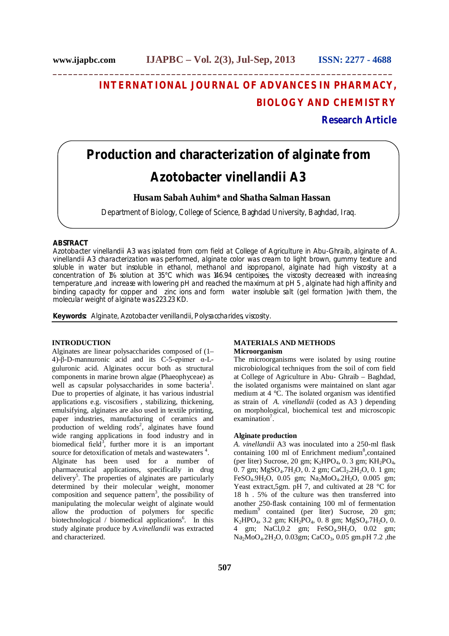# **INTERNATIONAL JOURNAL OF ADVANCES IN PHARMACY, BIOLOGY AND CHEMISTRY**

## **Research Article**

## **Production and characterization of alginate from**  *Azotobacter vinellandii* **A3**

**\_\_\_\_\_\_\_\_\_\_\_\_\_\_\_\_\_\_\_\_\_\_\_\_\_\_\_\_\_\_\_\_\_\_\_\_\_\_\_\_\_\_\_\_\_\_\_\_\_\_\_\_\_\_\_\_\_\_\_\_\_\_\_\_\_\_**

## **Husam Sabah Auhim\* and Shatha Salman Hassan**

Department of Biology, College of Science, Baghdad University, Baghdad, Iraq.

## **ABSTRACT**

*Azotobacter vinellandii* A3 was isolated from corn field at College of Agriculture in Abu-Ghraib, alginate of *A. vinellandii* A3 characterization was performed, alginate color was cream to light brown, gummy texture and soluble in water but insoluble in ethanol, methanol and isopropanol, alginate had high viscosity at a concentration of 1% solution at 35°C which was 146.94 centipoises, the viscosity decreased with increasing temperature ,and increase with lowering pH and reached the maximum at pH 5 , alginate had high affinity and binding capacity for copper and zinc ions and form water insoluble salt (gel formation )with them, the molecular weight of alginate was 223.23 KD.

**Keywords:** Alginate, *Azotobacter venillandii,* Polysaccharides, viscosity.

## **INTRODUCTION**

Alginates are linear polysaccharides composed of (1– 4)-β-D-mannuronic acid and its C-5-epimer α-Lguluronic acid. Alginates occur both as structural components in marine brown algae (Phaeophyceae) as well as capsular polysaccharides in some bacteria<sup>1</sup>. Due to properties of alginate, it has various industrial applications e.g. viscosifiers , stabilizing, thickening, emulsifying, alginates are also used in textile printing, paper industries, manufacturing of ceramics and production of welding rods<sup>2</sup>, alginates have found wide ranging applications in food industry and in biomedical field<sup>3</sup>, further more it is an important source for detoxification of metals and wastewaters<sup>4</sup>. Alginate has been used for a number of pharmaceutical applications, specifically in drug delivery<sup>5</sup>. The properties of alginates are particularly determined by their molecular weight, monomer composition and sequence pattern<sup>3</sup>, the possibility of manipulating the molecular weight of alginate would allow the production of polymers for specific biotechnological / biomedical applications<sup>6</sup>. In this study alginate produce by *A.vinellandii* was extracted and characterized.

## **MATERIALS AND METHODS**

#### **Microorganism**

The microorganisms were isolated by using routine microbiological techniques from the soil of corn field at College of Agriculture in Abu- Ghraib – Baghdad, the isolated organisms were maintained on slant agar medium at  $4 \text{ }^{\circ}C$ . The isolated organism was identified as strain of *A. vinellandii* (coded as A3 ) depending on morphological, biochemical test and microscopic examination<sup>7</sup>.

#### **Alginate production**

*A. vinellandii* A3 was inoculated into a 250-ml flask containing 100 ml of Enrichment medium<sup>8</sup>, contained (per liter) Sucrose, 20 gm;  $K_2HPO_4$ , 0. 3 gm;  $KH_2PO_4$ ,  $0.7$  gm; MgSO<sub>4</sub>.7H<sub>2</sub>O, 0. 2 gm; CaCl<sub>2</sub>.2H<sub>2</sub>O, 0. 1 gm; FeSO<sub>4</sub>.9H<sub>2</sub>O, 0.05 gm; Na<sub>2</sub>MoO<sub>4</sub>.2H<sub>2</sub>O, 0.005 gm; Yeast extract,5gm. pH 7, and cultivated at 28 °C for 18 h . 5% of the culture was then transferred into another 250-flask containing 100 ml of fermentation medium<sup>9</sup> contained (per liter) Sucrose, 20 gm;  $K_2HPO_4$ , 3.2 gm;  $KH_2PO_4$ , 0. 8 gm;  $MgSO_4$ .7 $H_2O$ , 0. 4 gm; NaCl, 0.2 gm; FeSO<sub>4</sub>.9H<sub>2</sub>O, 0.02 gm; Na<sub>2</sub>MoO<sub>4</sub>.2H<sub>2</sub>O, 0.03gm; CaCO<sub>3</sub>, 0.05 gm.pH 7.2 , the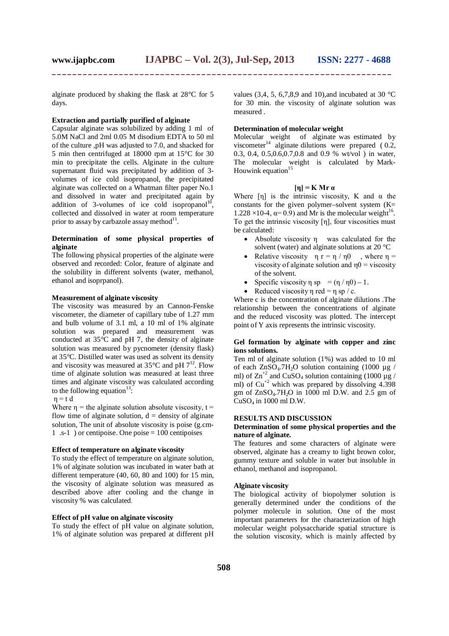alginate produced by shaking the flask at 28°C for 5 days.

#### **Extraction and partially purified of alginate**

Capsular alginate was solubilized by adding 1 ml of 5.0M NaCl and 2ml 0.05 M disodium EDTA to 50 ml of the culture ,pH was adjusted to 7.0, and shacked for 5 min then centrifuged at 18000 rpm at 15°C for 30 min to precipitate the cells. Alginate in the culture supernatant fluid was precipitated by addition of 3 volumes of ice cold isopropanol, the precipitated alginate was collected on a Whatman filter paper No.1 and dissolved in water and precipitated again by addition of 3-volumes of ice cold isopropanol<sup>10</sup>, collected and dissolved in water at room temperature prior to assay by carbazole assay method $^{11}$ .

#### **Determination of some physical properties of alginate**

The following physical properties of the alginate were observed and recorded: Color, feature of alginate and the solubility in different solvents (water, methanol, ethanol and isoprpanol).

#### **Measurement of alginate viscosity**

The viscosity was measured by an Cannon-Fenske viscometer, the diameter of capillary tube of 1.27 mm and bulb volume of 3.1 ml, a 10 ml of 1% alginate solution was prepared and measurement was conducted at  $35^{\circ}$ C and pH 7, the density of alginate solution was measured by pycnometer (density flask) at 35°C. Distilled water was used as solvent its density and viscosity was measured at  $35^{\circ}$ C and pH  $7^{12}$ . Flow time of alginate solution was measured at least three times and alginate viscosity was calculated according to the following equation<sup>13</sup>:

$$
\eta = t \, d
$$

Where  $\eta$  = the alginate solution absolute viscosity, t = flow time of alginate solution,  $d =$  density of alginate solution, The unit of absolute viscosity is poise (g.cm-1 .s-1 ) or centipoise. One poise = 100 centipoises

### **Effect of temperature on alginate viscosity**

To study the effect of temperature on alginate solution, 1% of alginate solution was incubated in water bath at different temperature (40, 60, 80 and 100) for 15 min, the viscosity of alginate solution was measured as described above after cooling and the change in viscosity % was calculated.

## **Effect of pH value on alginate viscosity**

To study the effect of pH value on alginate solution, 1% of alginate solution was prepared at different pH values (3,4, 5, 6,7,8,9 and 10), and incubated at 30  $^{\circ}$ C for 30 min. the viscosity of alginate solution was measured .

#### **Determination of molecular weight**

Molecular weight of alginate was estimated by viscometer<sup>14</sup> alginate dilutions were prepared  $(0.2, 1)$ 0.3, 0.4, 0.5,0.6,0.7,0.8 and 0.9 % wt/vol ) in water, The molecular weight is calculated by Mark-Houwink equation $15$ 

#### **[η] = K Mr α**

Where  $[\eta]$  is the intrinsic viscosity, K and  $\alpha$  the constants for the given polymer–solvent system  $(K=$  $1.228 \times 10^{-4}$ ,  $\alpha = 0.9$ ) and Mr is the molecular weight<sup>16</sup>. To get the intrinsic viscosity [η], four viscosities must be calculated:

- Absolute viscosity η was calculated for the solvent (water) and alginate solutions at 20 °C
- Relative viscosity  $\eta r = \eta / \eta 0$ , where  $\eta =$ viscosity of alginate solution and  $\eta$ 0 = viscosity of the solvent.
- Specific viscosity  $\eta$  sp =  $(\eta / \eta 0) 1$ .
- Reduced viscosity  $\eta$  red =  $\eta$  sp / c.

Where c is the concentration of alginate dilutions .The relationship between the concentrations of alginate and the reduced viscosity was plotted. The intercept point of Y axis represents the intrinsic viscosity.

## **Gel formation by alginate with copper and zinc ions solutions.**

Ten ml of alginate solution (1%) was added to 10 ml of each  $ZnSO_4.7H_2O$  solution containing (1000 µg / ml) of  $\text{Zn}^{+2}$  and CuSO<sub>4</sub> solution containing (1000 µg / ml) of  $Cu^{+2}$  which was prepared by dissolving 4.398 gm of  $ZnSO<sub>4</sub>·7H<sub>2</sub>O$  in 1000 ml D.W. and 2.5 gm of CuSO<sup>4</sup> in 1000 ml D.W.

## **RESULTS AND DISCUSSION**

#### **Determination of some physical properties and the nature of alginate.**

The features and some characters of alginate were observed, alginate has a creamy to light brown color, gummy texture and soluble in water but insoluble in ethanol, methanol and isopropanol.

#### **Alginate viscosity**

The biological activity of biopolymer solution is generally determined under the conditions of the polymer molecule in solution. One of the most important parameters for the characterization of high molecular weight polysaccharide spatial structure is the solution viscosity, which is mainly affected by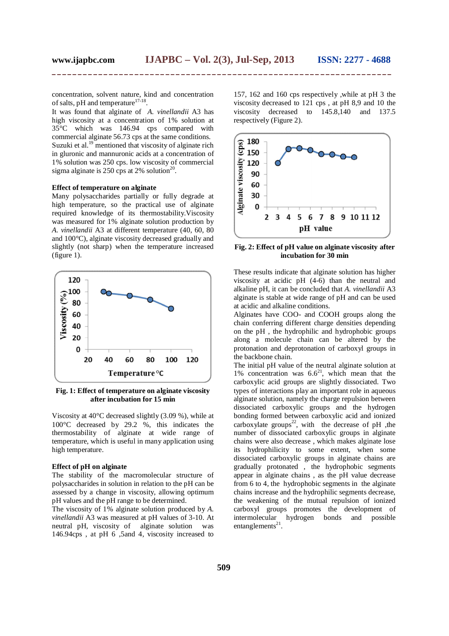concentration, solvent nature, kind and concentration of salts, pH and temperature $17-18$ .

It was found that alginate of *A. vinellandii* A3 has high viscosity at a concentration of 1% solution at 35°C which was 146.94 cps compared with commercial alginate 56.73 cps at the same conditions. Suzuki et al.<sup>19</sup> mentioned that viscosity of alginate rich in gluronic and mannuronic acids at a concentration of 1% solution was 250 cps. low viscosity of commercial sigma alginate is 250 cps at 2% solution<sup>20</sup>.

#### **Effect of temperature on alginate**

Many polysaccharides partially or fully degrade at high temperature, so the practical use of alginate required knowledge of its thermostability.Viscosity was measured for 1% alginate solution production by *A. vinellandii* A3 at different temperature (40, 60, 80 and 100°C), alginate viscosity decreased gradually and slightly (not sharp) when the temperature increased (figure 1).



**Fig. 1: Effect of temperature on alginate viscosity after incubation for 15 min**

Viscosity at 40°C decreased slightly (3.09 %), while at 100°C decreased by 29.2 %, this indicates the thermostability of alginate at wide range of temperature, which is useful in many application using high temperature.

#### **Effect of pH on alginate**

The stability of the macromolecular structure of polysaccharides in solution in relation to the pH can be assessed by a change in viscosity, allowing optimum pH values and the pH range to be determined.

The viscosity of 1% alginate solution produced by *A. vinellandii* A3 was measured at pH values of 3-10. At neutral pH, viscosity of alginate solution was 146.94cps , at pH 6 ,5and 4, viscosity increased to

157, 162 and 160 cps respectively ,while at pH 3 the viscosity decreased to 121 cps , at pH 8,9 and 10 the viscosity decreased to 145.8,140 and 137.5 respectively (Figure 2).



**Fig. 2: Effect of pH value on alginate viscosity after incubation for 30 min**

These results indicate that alginate solution has higher viscosity at acidic pH (4-6) than the neutral and alkaline pH, it can be concluded that *A. vinellandii* A3 alginate is stable at wide range of pH and can be used at acidic and alkaline conditions.

Alginates have COO- and COOH groups along the chain conferring different charge densities depending on the pH , the hydrophilic and hydrophobic groups along a molecule chain can be altered by the protonation and deprotonation of carboxyl groups in the backbone chain.

The initial pH value of the neutral alginate solution at 1% concentration was  $6.6^{21}$ , which mean that the carboxylic acid groups are slightly dissociated. Two types of interactions play an important role in aqueous alginate solution, namely the charge repulsion between dissociated carboxylic groups and the hydrogen bonding formed between carboxylic acid and ionized carboxylate groups<sup>22</sup>, with the decrease of pH ,the number of dissociated carboxylic groups in alginate chains were also decrease , which makes alginate lose its hydrophilicity to some extent, when some dissociated carboxylic groups in alginate chains are gradually protonated , the hydrophobic segments appear in alginate chains , as the pH value decrease from 6 to 4, the hydrophobic segments in the alginate chains increase and the hydrophilic segments decrease, the weakening of the mutual repulsion of ionized carboxyl groups promotes the development of intermolecular hydrogen bonds and possible entanglements $^{21}$ .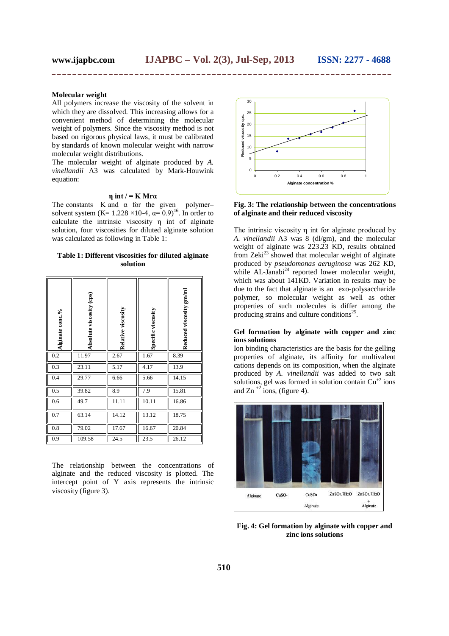## **Molecular weight**

All polymers increase the viscosity of the solvent in which they are dissolved. This increasing allows for a convenient method of determining the molecular weight of polymers. Since the viscosity method is not based on rigorous physical laws, it must be calibrated by standards of known molecular weight with narrow molecular weight distributions.

The molecular weight of alginate produced by *A. vinellandii* A3 was calculated by Mark-Houwink equation:

## **η int / = K Mrα**

The constants K and  $\alpha$  for the given polymersolvent system (K=  $1.228 \times 10^{-4}$ ,  $\alpha = 0.9$ )<sup>16</sup>. In order to calculate the intrinsic viscosity η int of alginate solution, four viscosities for diluted alginate solution was calculated as following in Table 1:

#### **Table 1: Different viscosities for diluted alginate solution**

| Alginate conc.% | Absolute viscosity (cps) | Relative viscosity | Specific viscosity | Reduced viscosity gm/ml |
|-----------------|--------------------------|--------------------|--------------------|-------------------------|
| 0.2             | 11.97                    | 2.67               | 1.67               | 8.39                    |
| 0.3             | 23.11                    | 5.17               | 4.17               | 13.9                    |
| 0.4             | 29.77                    | 6.66               | 5.66               | 14.15                   |
| 0.5             | 39.82                    | 8.9                | 7.9                | 15.81                   |
| 0.6             | 49.7                     | 11.11              | 10.11              | 16.86                   |
| 0.7             | 63.14                    | 14.12              | 13.12              | 18.75                   |
| 0.8             | 79.02                    | 17.67              | 16.67              | 20.84                   |
| 0.9             | 109.58                   | 24.5               | 23.5               | 26.12                   |

The relationship between the concentrations of alginate and the reduced viscosity is plotted. The intercept point of Y axis represents the intrinsic viscosity (figure 3).



**Fig. 3: The relationship between the concentrations of alginate and their reduced viscosity**

The intrinsic viscosity η int for alginate produced by *A. vinellandii* A3 was 8 (dl/gm), and the molecular weight of alginate was 223.23 KD, results obtained from Zeki $^{23}$  showed that molecular weight of alginate produced by *pseudomonas aeruginosa* was 262 KD, while  $AL$ -Janabi<sup>24</sup> reported lower molecular weight, which was about 141KD. Variation in results may be due to the fact that alginate is an exo-polysaccharide polymer, so molecular weight as well as other properties of such molecules is differ among the producing strains and culture conditions<sup>25</sup>.

#### **Gel formation by alginate with copper and zinc ions solutions**

Ion binding characteristics are the basis for the gelling properties of alginate, its affinity for multivalent cations depends on its composition, when the alginate produced by *A. vinellandii* was added to two salt solutions, gel was formed in solution contain  $Cu^{+2}$  ions and Zn<sup> $+2$ </sup> ions, (figure 4).



**Fig. 4: Gel formation by alginate with copper and zinc ions solutions**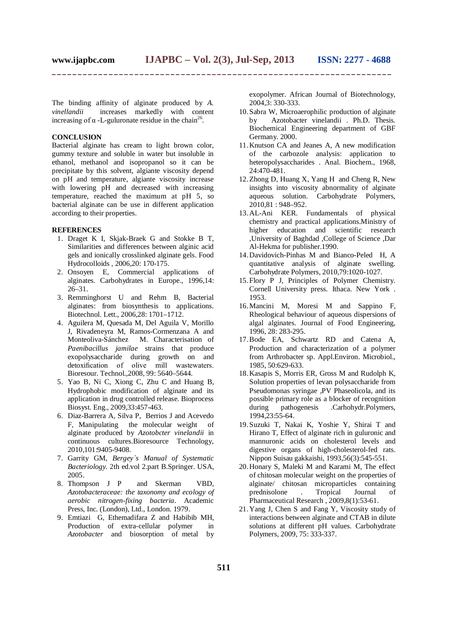The binding affinity of alginate produced by *A. vinellandii* increases markedly with content increasing of  $\alpha$  -L-guluronate residue in the chain<sup>26</sup>.

#### **CONCLUSION**

Bacterial alginate has cream to light brown color, gummy texture and soluble in water but insoluble in ethanol, methanol and isopropanol so it can be precipitate by this solvent, algiante viscosity depend on pH and temperature, algiante viscosity increase with lowering pH and decreased with increasing temperature, reached the maximum at pH 5, so bacterial alginate can be use in different application according to their properties.

#### **REFERENCES**

- 1. Draget K I, Skjak-Braek G and Stokke B T, Similarities and differences between alginic acid gels and ionically crosslinked alginate gels. Food Hydrocolloids , 2006,20: 170-175.
- 2. Onsoyen E, Commercial applications of alginates. Carbohydrates in Europe., 1996,14: 26–31.
- 3. Remminghorst U and Rehm B, Bacterial alginates: from biosynthesis to applications. Biotechnol. Lett., 2006,28: 1701–1712.
- 4. Aguilera M, Quesada M, Del Aguila V, Morillo J, Rivadeneyra M, Ramos-Cormenzana A and Monteoliva-Sánchez M. Characterisation of *Paenibacillus jamilae* strains that produce exopolysaccharide during growth on and detoxification of olive mill wastewaters. Bioresour. Technol.,2008, 99: 5640–5644.
- 5. Yao B, Ni C, Xiong C, Zhu C and Huang B, Hydrophobic modification of alginate and its application in drug controlled release. Bioprocess Biosyst. Eng., 2009,33:457-463.
- 6. Diaz-Barrera A, Silva P, Berrios J and Acevedo F, Manipulating the molecular weight of alginate produced by *Azotobcter vinelandii* in continuous cultures.Bioresource Technology, 2010,101:9405-9408.
- 7. Garrity GM, *Bergey`s Manual of Systematic Bacteriology.* 2th ed.vol 2.part B.Springer. USA, 2005.
- 8. Thompson J P and Skerman VBD, *Azotobacteraceae: the taxonomy and ecology of aerobic nitrogen-fixing bacteria*. Academic Press, Inc. (London), Ltd., London. 1979.
- 9. Emtiazi G, Ethemadifara Z and Habibib MH, Production of extra-cellular polymer in *Azotobacter* and biosorption of metal by

exopolymer. African Journal of Biotechnology, 2004,3: 330-333.

- 10.Sabra W, Microaerophilic production of alginate by Azotobacter vinelandii . Ph.D. Thesis. Biochemical Engineering department of GBF Germany. 2000.
- 11.Knutson CA and Jeanes A, A new modification of the carbozole analysis: application to heteropolysaccharides . Anal. Biochem., 1968, 24:470-481.
- 12.Zhong D, Huang X, Yang H and Cheng R, New insights into viscosity abnormality of alginate aqueous solution. Carbohydrate Polymers, 2010,81 : 948–952.
- 13.AL-Ani KER. Fundamentals of physical chemistry and practical applications.Ministry of higher education and scientific research ,University of Baghdad ,College of Science ,Dar Al-Hekma for publisher.1990.
- 14.Davidovich-Pinhas M and Bianco-Peled H, A quantitative analysis of alginate swelling. Carbohydrate Polymers, 2010,79:1020-1027.
- 15.Flory P J, Principles of Polymer Chemistry. Cornell University press. Ithaca. New York . 1953.
- 16.Mancini M, Moresi M and Sappino F, Rheological behaviour of aqueous dispersions of algal alginates. Journal of Food Engineering, 1996, 28: 283-295.
- 17.Bode EA, Schwartz RD and Catena A, Production and characterization of a polymer from Arthrobacter sp. Appl.Environ. Microbiol., 1985, 50:629-633.
- 18.Kasapis S, Morris ER, Gross M and Rudolph K, Solution properties of levan polysaccharide from Pseudomonas syringae ,PV Phaseolicola, and its possible primary role as a blocker of recognition during pathogenesis .Carhohydr.Polymers, 1994,23:55-64.
- 19.Suzuki T, Nakai K, Yoshie Y, Shirai T and Hirano T, Effect of alginate rich in guluronic and mannuronic acids on cholesterol levels and digestive organs of high-cholesterol-fed rats. Nippon Suisau gakkaishi, 1993,56(3):545-551.
- 20.Honary S, Maleki M and Karami M, The effect of chitosan molecular weight on the properties of alginate/ chitosan microparticles containing<br>prednisolone . Tropical Journal of prednisolone . Tropical Journal of Pharmaceutical Research , 2009,8(1):53-61.
- 21.Yang J, Chen S and Fang Y, Viscosity study of interactions between alginate and CTAB in dilute solutions at different pH values. Carbohydrate Polymers, 2009, 75: 333-337.